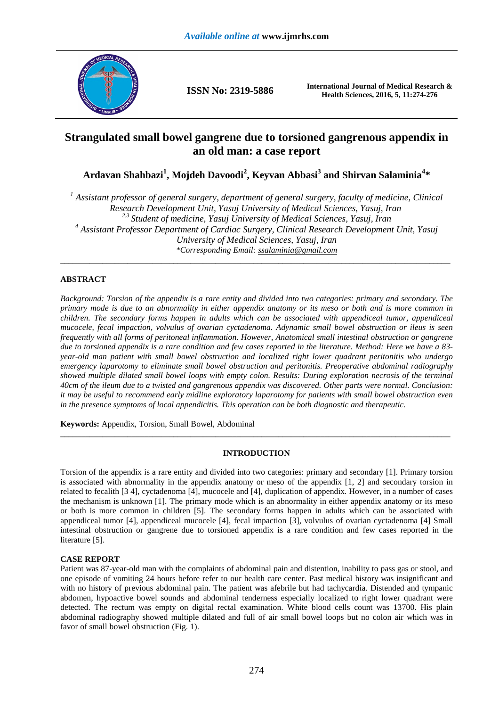

**ISSN No: 2319-5886 International Journal of Medical Research & Health Sciences, 2016, 5, 11:274-276** 

# **Strangulated small bowel gangrene due to torsioned gangrenous appendix in an old man: a case report**

**Ardavan Shahbazi<sup>1</sup> , Mojdeh Davoodi<sup>2</sup> , Keyvan Abbasi<sup>3</sup> and Shirvan Salaminia<sup>4</sup> \*** 

<sup>1</sup> Assistant professor of general surgery, department of general surgery, faculty of medicine, Clinical *Research Development Unit, Yasuj University of Medical Sciences, Yasuj, Iran 2,3 Student of medicine, Yasuj University of Medical Sciences, Yasuj, Iran*  <sup>4</sup> Assistant Professor Department of Cardiac Surgery, Clinical Research Development Unit, Yasuj *University of Medical Sciences, Yasuj, Iran \*Corresponding Email: ssalaminia@gmail.com*  \_\_\_\_\_\_\_\_\_\_\_\_\_\_\_\_\_\_\_\_\_\_\_\_\_\_\_\_\_\_\_\_\_\_\_\_\_\_\_\_\_\_\_\_\_\_\_\_\_\_\_\_\_\_\_\_\_\_\_\_\_\_\_\_\_\_\_\_\_\_\_\_\_\_\_\_\_\_\_\_\_\_\_\_\_\_\_\_\_\_\_\_\_

## **ABSTRACT**

*Background: Torsion of the appendix is a rare entity and divided into two categories: primary and secondary. The primary mode is due to an abnormality in either appendix anatomy or its meso or both and is more common in children. The secondary forms happen in adults which can be associated with appendiceal tumor, appendiceal mucocele, fecal impaction, volvulus of ovarian cyctadenoma. Adynamic small bowel obstruction or ileus is seen frequently with all forms of peritoneal inflammation. However, Anatomical small intestinal obstruction or gangrene due to torsioned appendix is a rare condition and few cases reported in the literature. Method: Here we have a 83 year-old man patient with small bowel obstruction and localized right lower quadrant peritonitis who undergo emergency laparotomy to eliminate small bowel obstruction and peritonitis. Preoperative abdominal radiography showed multiple dilated small bowel loops with empty colon. Results: During exploration necrosis of the terminal 40cm of the ileum due to a twisted and gangrenous appendix was discovered. Other parts were normal. Conclusion: it may be useful to recommend early midline exploratory laparotomy for patients with small bowel obstruction even in the presence symptoms of local appendicitis. This operation can be both diagnostic and therapeutic.*

**Keywords:** Appendix, Torsion, Small Bowel, Abdominal

### **INTRODUCTION**

\_\_\_\_\_\_\_\_\_\_\_\_\_\_\_\_\_\_\_\_\_\_\_\_\_\_\_\_\_\_\_\_\_\_\_\_\_\_\_\_\_\_\_\_\_\_\_\_\_\_\_\_\_\_\_\_\_\_\_\_\_\_\_\_\_\_\_\_\_\_\_\_\_\_\_\_\_\_\_\_\_\_\_\_\_\_\_\_\_\_\_\_\_

Torsion of the appendix is a rare entity and divided into two categories: primary and secondary [1]. Primary torsion is associated with abnormality in the appendix anatomy or meso of the appendix [1, 2] and secondary torsion in related to fecalith [3 4], cyctadenoma [4], mucocele and [4], duplication of appendix. However, in a number of cases the mechanism is unknown [1]. The primary mode which is an abnormality in either appendix anatomy or its meso or both is more common in children [5]. The secondary forms happen in adults which can be associated with appendiceal tumor [4], appendiceal mucocele [4], fecal impaction [3], volvulus of ovarian cyctadenoma [4] Small intestinal obstruction or gangrene due to torsioned appendix is a rare condition and few cases reported in the literature [5].

### **CASE REPORT**

Patient was 87-year-old man with the complaints of abdominal pain and distention, inability to pass gas or stool, and one episode of vomiting 24 hours before refer to our health care center. Past medical history was insignificant and with no history of previous abdominal pain. The patient was afebrile but had tachycardia. Distended and tympanic abdomen, hypoactive bowel sounds and abdominal tenderness especially localized to right lower quadrant were detected. The rectum was empty on digital rectal examination. White blood cells count was 13700. His plain abdominal radiography showed multiple dilated and full of air small bowel loops but no colon air which was in favor of small bowel obstruction (Fig. 1).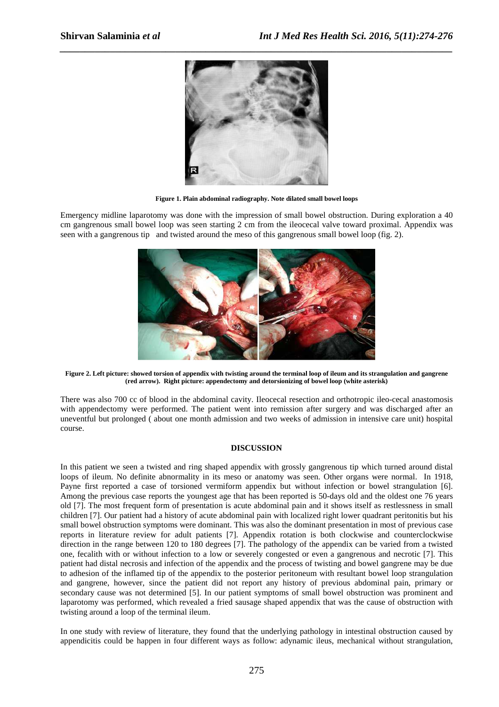

**Figure 1. Plain abdominal radiography. Note dilated small bowel loops** 

Emergency midline laparotomy was done with the impression of small bowel obstruction. During exploration a 40 cm gangrenous small bowel loop was seen starting 2 cm from the ileocecal valve toward proximal. Appendix was seen with a gangrenous tip and twisted around the meso of this gangrenous small bowel loop (fig. 2).



**Figure 2. Left picture: showed torsion of appendix with twisting around the terminal loop of ileum and its strangulation and gangrene (red arrow). Right picture: appendectomy and detorsionizing of bowel loop (white asterisk)** 

There was also 700 cc of blood in the abdominal cavity. Ileocecal resection and orthotropic ileo-cecal anastomosis with appendectomy were performed. The patient went into remission after surgery and was discharged after an uneventful but prolonged ( about one month admission and two weeks of admission in intensive care unit) hospital course.

#### **DISCUSSION**

In this patient we seen a twisted and ring shaped appendix with grossly gangrenous tip which turned around distal loops of ileum. No definite abnormality in its meso or anatomy was seen. Other organs were normal. In 1918, Payne first reported a case of torsioned vermiform appendix but without infection or bowel strangulation [6]. Among the previous case reports the youngest age that has been reported is 50-days old and the oldest one 76 years old [7]. The most frequent form of presentation is acute abdominal pain and it shows itself as restlessness in small children [7]. Our patient had a history of acute abdominal pain with localized right lower quadrant peritonitis but his small bowel obstruction symptoms were dominant. This was also the dominant presentation in most of previous case reports in literature review for adult patients [7]. Appendix rotation is both clockwise and counterclockwise direction in the range between 120 to 180 degrees [7]. The pathology of the appendix can be varied from a twisted one, fecalith with or without infection to a low or severely congested or even a gangrenous and necrotic [7]. This patient had distal necrosis and infection of the appendix and the process of twisting and bowel gangrene may be due to adhesion of the inflamed tip of the appendix to the posterior peritoneum with resultant bowel loop strangulation and gangrene, however, since the patient did not report any history of previous abdominal pain, primary or secondary cause was not determined [5]. In our patient symptoms of small bowel obstruction was prominent and laparotomy was performed, which revealed a fried sausage shaped appendix that was the cause of obstruction with twisting around a loop of the terminal ileum.

In one study with review of literature, they found that the underlying pathology in intestinal obstruction caused by appendicitis could be happen in four different ways as follow: adynamic ileus, mechanical without strangulation,